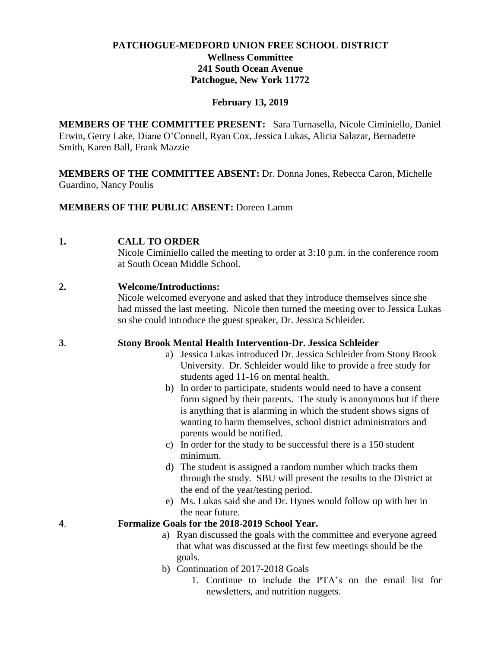# **PATCHOGUE-MEDFORD UNION FREE SCHOOL DISTRICT Wellness Committee 241 South Ocean Avenue Patchogue, New York 11772**

# **February 13, 2019**

**MEMBERS OF THE COMMITTEE PRESENT:** Sara Turnasella, Nicole Ciminiello, Daniel Erwin, Gerry Lake, Diane O'Connell, Ryan Cox, Jessica Lukas, Alicia Salazar, Bernadette Smith, Karen Ball, Frank Mazzie

**MEMBERS OF THE COMMITTEE ABSENT:** Dr. Donna Jones, Rebecca Caron, Michelle Guardino, Nancy Poulis

# **MEMBERS OF THE PUBLIC ABSENT:** Doreen Lamm

# **1. CALL TO ORDER**

Nicole Ciminiello called the meeting to order at 3:10 p.m. in the conference room at South Ocean Middle School.

# **2. Welcome/Introductions:**

Nicole welcomed everyone and asked that they introduce themselves since she had missed the last meeting. Nicole then turned the meeting over to Jessica Lukas so she could introduce the guest speaker, Dr. Jessica Schleider.

# **3**. **Stony Brook Mental Health Intervention-Dr. Jessica Schleider**

- a) Jessica Lukas introduced Dr. Jessica Schleider from Stony Brook University. Dr. Schleider would like to provide a free study for students aged 11-16 on mental health.
- b) In order to participate, students would need to have a consent form signed by their parents. The study is anonymous but if there is anything that is alarming in which the student shows signs of wanting to harm themselves, school district administrators and parents would be notified.
- c) In order for the study to be successful there is a 150 student minimum.
- d) The student is assigned a random number which tracks them through the study. SBU will present the results to the District at the end of the year/testing period.
- e) Ms. Lukas said she and Dr. Hynes would follow up with her in the near future.

# **4**. **Formalize Goals for the 2018-2019 School Year.**

- a) Ryan discussed the goals with the committee and everyone agreed that what was discussed at the first few meetings should be the goals.
- b) Continuation of 2017-2018 Goals
	- 1. Continue to include the PTA's on the email list for newsletters, and nutrition nuggets.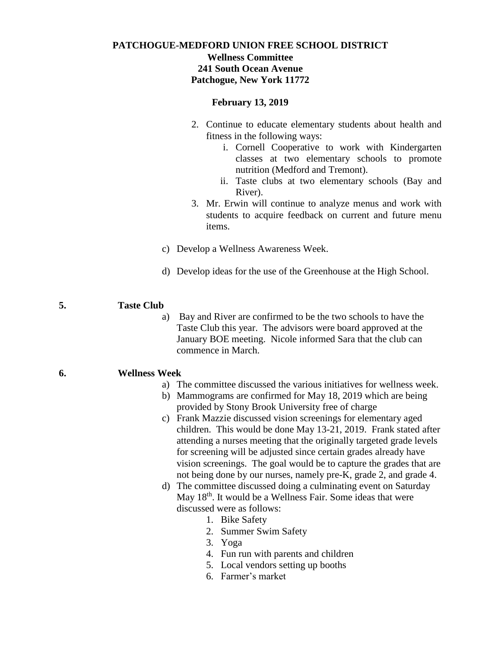# **PATCHOGUE-MEDFORD UNION FREE SCHOOL DISTRICT Wellness Committee 241 South Ocean Avenue Patchogue, New York 11772**

## **February 13, 2019**

- 2. Continue to educate elementary students about health and fitness in the following ways:
	- i. Cornell Cooperative to work with Kindergarten classes at two elementary schools to promote nutrition (Medford and Tremont).
	- ii. Taste clubs at two elementary schools (Bay and River).
- 3. Mr. Erwin will continue to analyze menus and work with students to acquire feedback on current and future menu items.
- c) Develop a Wellness Awareness Week.
- d) Develop ideas for the use of the Greenhouse at the High School.

## **5. Taste Club**

a) Bay and River are confirmed to be the two schools to have the Taste Club this year. The advisors were board approved at the January BOE meeting. Nicole informed Sara that the club can commence in March.

### **6. Wellness Week**

- a) The committee discussed the various initiatives for wellness week.
- b) Mammograms are confirmed for May 18, 2019 which are being provided by Stony Brook University free of charge
- c) Frank Mazzie discussed vision screenings for elementary aged children. This would be done May 13-21, 2019. Frank stated after attending a nurses meeting that the originally targeted grade levels for screening will be adjusted since certain grades already have vision screenings. The goal would be to capture the grades that are not being done by our nurses, namely pre-K, grade 2, and grade 4.
- d) The committee discussed doing a culminating event on Saturday May 18<sup>th</sup>. It would be a Wellness Fair. Some ideas that were discussed were as follows:
	- 1. Bike Safety
	- 2. Summer Swim Safety
	- 3. Yoga
	- 4. Fun run with parents and children
	- 5. Local vendors setting up booths
	- 6. Farmer's market